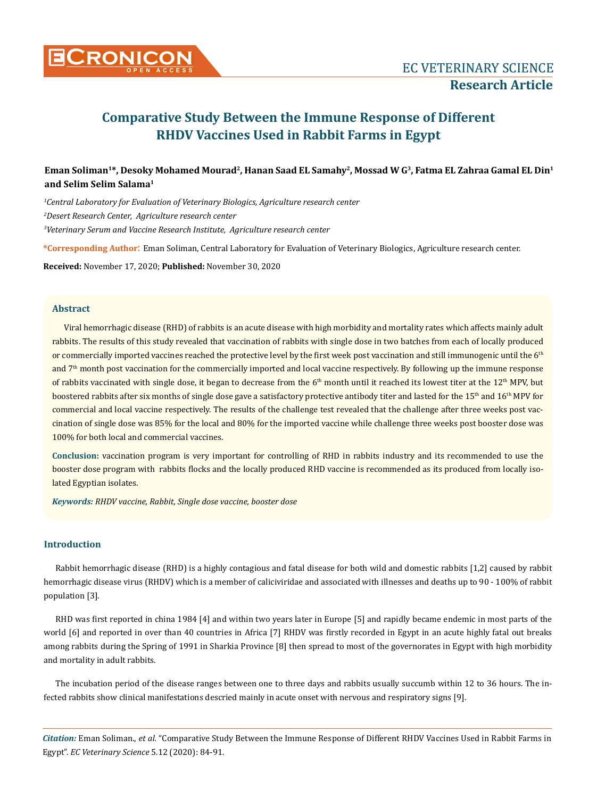

# **Comparative Study Between the Immune Response of Different RHDV Vaccines Used in Rabbit Farms in Egypt**

# **Eman Soliman1\*, Desoky Mohamed Mourad2, Hanan Saad EL Samahy2, Mossad W G3, Fatma EL Zahraa Gamal EL Din1 and Selim Selim Salama1**

*1 Central Laboratory for Evaluation of Veterinary Biologics, Agriculture research center 2 Desert Research Center, Agriculture research center 3 Veterinary Serum and Vaccine Research Institute, Agriculture research center*

**\*Corresponding Author**: Eman Soliman, Central Laboratory for Evaluation of Veterinary Biologics, Agriculture research center.

**Received:** November 17, 2020; **Published:** November 30, 2020

# **Abstract**

Viral hemorrhagic disease (RHD) of rabbits is an acute disease with high morbidity and mortality rates which affects mainly adult rabbits. The results of this study revealed that vaccination of rabbits with single dose in two batches from each of locally produced or commercially imported vaccines reached the protective level by the first week post vaccination and still immunogenic until the 6<sup>th</sup> and 7th month post vaccination for the commercially imported and local vaccine respectively. By following up the immune response of rabbits vaccinated with single dose, it began to decrease from the  $6<sup>th</sup>$  month until it reached its lowest titer at the  $12<sup>th</sup>$  MPV, but boostered rabbits after six months of single dose gave a satisfactory protective antibody titer and lasted for the 15<sup>th</sup> and 16<sup>th</sup> MPV for commercial and local vaccine respectively. The results of the challenge test revealed that the challenge after three weeks post vaccination of single dose was 85% for the local and 80% for the imported vaccine while challenge three weeks post booster dose was 100% for both local and commercial vaccines.

**Conclusion:** vaccination program is very important for controlling of RHD in rabbits industry and its recommended to use the booster dose program with rabbits flocks and the locally produced RHD vaccine is recommended as its produced from locally isolated Egyptian isolates.

*Keywords: RHDV vaccine, Rabbit, Single dose vaccine, booster dose*

# **Introduction**

Rabbit hemorrhagic disease (RHD) is a highly contagious and fatal disease for both wild and domestic rabbits [1,2] caused by rabbit hemorrhagic disease virus (RHDV) which is a member of caliciviridae and associated with illnesses and deaths up to 90 - 100% of rabbit population [3].

RHD was first reported in china 1984 [4] and within two years later in Europe [5] and rapidly became endemic in most parts of the world [6] and reported in over than 40 countries in Africa [7] RHDV was firstly recorded in Egypt in an acute highly fatal out breaks among rabbits during the Spring of 1991 in Sharkia Province [8] then spread to most of the governorates in Egypt with high morbidity and mortality in adult rabbits.

The incubation period of the disease ranges between one to three days and rabbits usually succumb within 12 to 36 hours. The infected rabbits show clinical manifestations descried mainly in acute onset with nervous and respiratory signs [9].

*Citation:* Eman Soliman., *et al.* "Comparative Study Between the Immune Response of Different RHDV Vaccines Used in Rabbit Farms in Egypt". *EC Veterinary Science* 5.12 (2020): 84-91.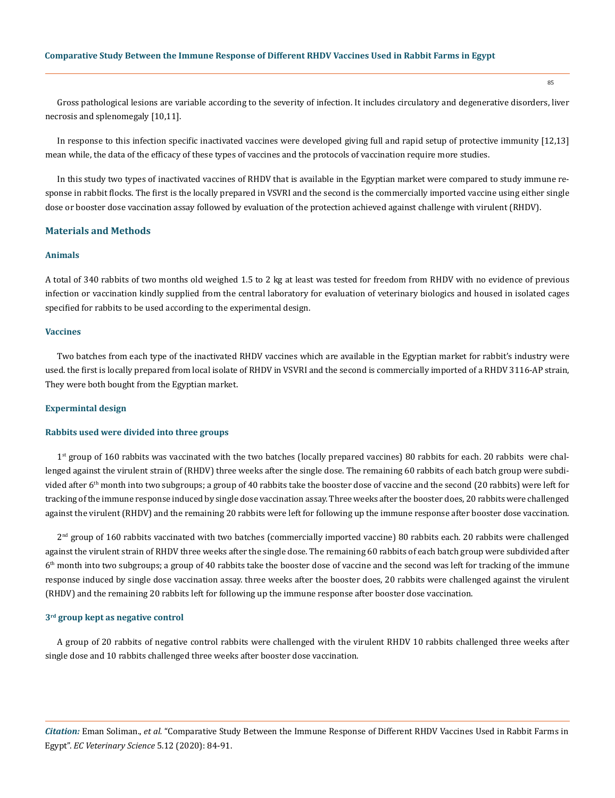Gross pathological lesions are variable according to the severity of infection. It includes circulatory and degenerative disorders, liver necrosis and splenomegaly [10,11].

In response to this infection specific inactivated vaccines were developed giving full and rapid setup of protective immunity [12,13] mean while, the data of the efficacy of these types of vaccines and the protocols of vaccination require more studies.

In this study two types of inactivated vaccines of RHDV that is available in the Egyptian market were compared to study immune response in rabbit flocks. The first is the locally prepared in VSVRI and the second is the commercially imported vaccine using either single dose or booster dose vaccination assay followed by evaluation of the protection achieved against challenge with virulent (RHDV).

# **Materials and Methods**

#### **Animals**

A total of 340 rabbits of two months old weighed 1.5 to 2 kg at least was tested for freedom from RHDV with no evidence of previous infection or vaccination kindly supplied from the central laboratory for evaluation of veterinary biologics and housed in isolated cages specified for rabbits to be used according to the experimental design.

#### **Vaccines**

Two batches from each type of the inactivated RHDV vaccines which are available in the Egyptian market for rabbit's industry were used. the first is locally prepared from local isolate of RHDV in VSVRI and the second is commercially imported of a RHDV 3116-AP strain, They were both bought from the Egyptian market.

#### **Expermintal design**

#### **Rabbits used were divided into three groups**

 $1<sup>st</sup>$  group of 160 rabbits was vaccinated with the two batches (locally prepared vaccines) 80 rabbits for each. 20 rabbits were challenged against the virulent strain of (RHDV) three weeks after the single dose. The remaining 60 rabbits of each batch group were subdivided after  $6<sup>th</sup>$  month into two subgroups; a group of 40 rabbits take the booster dose of vaccine and the second (20 rabbits) were left for tracking of the immune response induced by single dose vaccination assay. Three weeks after the booster does, 20 rabbits were challenged against the virulent (RHDV) and the remaining 20 rabbits were left for following up the immune response after booster dose vaccination.

 $2<sup>nd</sup>$  group of 160 rabbits vaccinated with two batches (commercially imported vaccine) 80 rabbits each. 20 rabbits were challenged against the virulent strain of RHDV three weeks after the single dose. The remaining 60 rabbits of each batch group were subdivided after  $6<sup>th</sup>$  month into two subgroups; a group of 40 rabbits take the booster dose of vaccine and the second was left for tracking of the immune response induced by single dose vaccination assay. three weeks after the booster does, 20 rabbits were challenged against the virulent (RHDV) and the remaining 20 rabbits left for following up the immune response after booster dose vaccination.

#### **3rd group kept as negative control**

A group of 20 rabbits of negative control rabbits were challenged with the virulent RHDV 10 rabbits challenged three weeks after single dose and 10 rabbits challenged three weeks after booster dose vaccination.

*Citation:* Eman Soliman., *et al.* "Comparative Study Between the Immune Response of Different RHDV Vaccines Used in Rabbit Farms in Egypt". *EC Veterinary Science* 5.12 (2020): 84-91.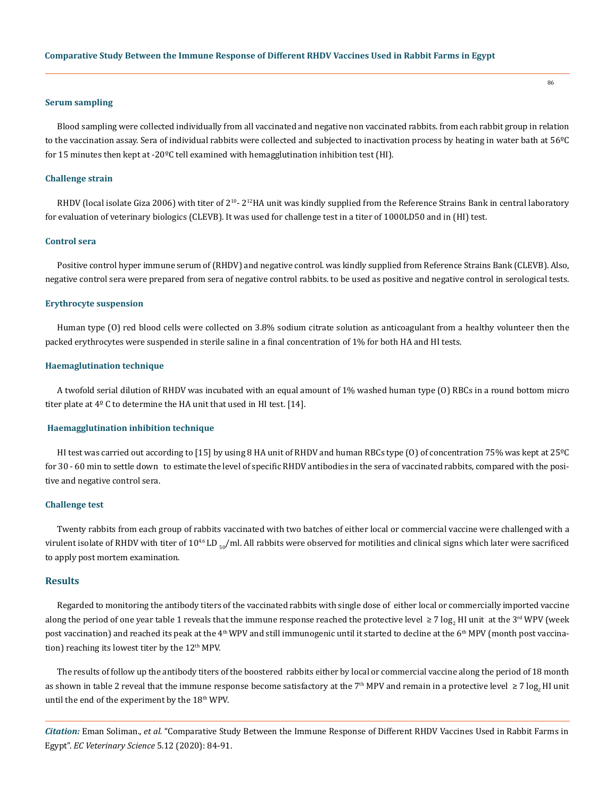#### **Serum sampling**

Blood sampling were collected individually from all vaccinated and negative non vaccinated rabbits. from each rabbit group in relation to the vaccination assay. Sera of individual rabbits were collected and subjected to inactivation process by heating in water bath at 56ºC for 15 minutes then kept at -20 $\textdegree$ C tell examined with hemagglutination inhibition test (HI).

#### **Challenge strain**

RHDV (local isolate Giza 2006) with titer of  $2^{10}$ -  $2^{12}$ HA unit was kindly supplied from the Reference Strains Bank in central laboratory for evaluation of veterinary biologics (CLEVB). It was used for challenge test in a titer of 1000LD50 and in (HI) test.

#### **Control sera**

Positive control hyper immune serum of (RHDV) and negative control. was kindly supplied from Reference Strains Bank (CLEVB). Also, negative control sera were prepared from sera of negative control rabbits. to be used as positive and negative control in serological tests.

#### **Erythrocyte suspension**

Human type (O) red blood cells were collected on 3.8% sodium citrate solution as anticoagulant from a healthy volunteer then the packed erythrocytes were suspended in sterile saline in a final concentration of 1% for both HA and HI tests.

#### **Haemaglutination technique**

A twofold serial dilution of RHDV was incubated with an equal amount of 1% washed human type (O) RBCs in a round bottom micro titer plate at  $4^{\circ}$  C to determine the HA unit that used in HI test. [14].

#### **Haemagglutination inhibition technique**

HI test was carried out according to [15] by using 8 HA unit of RHDV and human RBCs type (0) of concentration 75% was kept at 25°C for 30 - 60 min to settle down to estimate the level of specific RHDV antibodies in the sera of vaccinated rabbits, compared with the positive and negative control sera.

#### **Challenge test**

Twenty rabbits from each group of rabbits vaccinated with two batches of either local or commercial vaccine were challenged with a virulent isolate of RHDV with titer of 10<sup>4.6</sup> LD <sub>50</sub>/ml. All rabbits were observed for motilities and clinical signs which later were sacrificed to apply post mortem examination.

# **Results**

Regarded to monitoring the antibody titers of the vaccinated rabbits with single dose of either local or commercially imported vaccine along the period of one year table 1 reveals that the immune response reached the protective level ≥ 7 log<sub>2</sub> HI unit at the 3™ WPV (week post vaccination) and reached its peak at the 4<sup>th</sup> WPV and still immunogenic until it started to decline at the 6<sup>th</sup> MPV (month post vaccination) reaching its lowest titer by the  $12<sup>th</sup>$  MPV.

The results of follow up the antibody titers of the boostered rabbits either by local or commercial vaccine along the period of 18 month as shown in table 2 reveal that the immune response become satisfactory at the 7<sup>th</sup> MPV and remain in a protective level ≥ 7 log<sub>2</sub> HI unit until the end of the experiment by the 18<sup>th</sup> WPV.

*Citation:* Eman Soliman., *et al.* "Comparative Study Between the Immune Response of Different RHDV Vaccines Used in Rabbit Farms in Egypt". *EC Veterinary Science* 5.12 (2020): 84-91.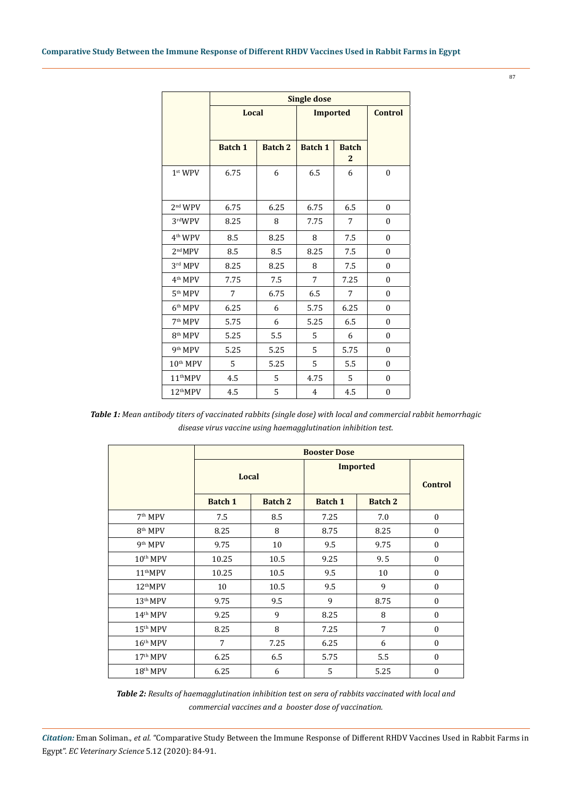|                      | <b>Single dose</b> |                |                 |                                |                  |  |  |  |  |
|----------------------|--------------------|----------------|-----------------|--------------------------------|------------------|--|--|--|--|
|                      | Local              |                | <b>Imported</b> | <b>Control</b>                 |                  |  |  |  |  |
|                      | <b>Batch 1</b>     | <b>Batch 2</b> | <b>Batch 1</b>  | <b>Batch</b><br>$\overline{2}$ |                  |  |  |  |  |
| $1st$ WPV            | 6.75               | 6              | 6.5             | 6                              | $\boldsymbol{0}$ |  |  |  |  |
| 2 <sup>nd</sup> WPV  | 6.75               | 6.25           | 6.75            | 6.5                            | $\boldsymbol{0}$ |  |  |  |  |
| 3rdWPV               | 8.25               | 8              | 7.75            | 7                              | 0                |  |  |  |  |
| $4th$ WPV            | 8.5                | 8.25           | 8               | 7.5                            | $\boldsymbol{0}$ |  |  |  |  |
| 2 <sup>nd</sup> MPV  | 8.5                | 8.5            | 8.25            | 7.5                            | $\boldsymbol{0}$ |  |  |  |  |
| 3rd MPV              | 8.25               | 8.25           | 8               | 7.5                            | $\boldsymbol{0}$ |  |  |  |  |
| 4 <sup>th</sup> MPV  | 7.75               | 7.5            | 7               | 7.25                           | $\boldsymbol{0}$ |  |  |  |  |
| 5 <sup>th</sup> MPV  | 7                  | 6.75           | 6.5             | 7                              | $\boldsymbol{0}$ |  |  |  |  |
| $6th$ MPV            | 6.25               | 6              | 5.75            | 6.25                           | $\boldsymbol{0}$ |  |  |  |  |
| 7 <sup>th</sup> MPV  | 5.75               | 6              | 5.25            | 6.5                            | $\boldsymbol{0}$ |  |  |  |  |
| 8 <sup>th</sup> MPV  | 5.25               | 5.5            | 5               | 6                              | $\boldsymbol{0}$ |  |  |  |  |
| 9 <sup>th</sup> MPV  | 5.25               | 5.25           | 5               | 5.75                           | $\boldsymbol{0}$ |  |  |  |  |
| 10 <sup>th</sup> MPV | 5                  | 5.25           | 5               | 5.5                            | $\boldsymbol{0}$ |  |  |  |  |
| 11 <sup>th</sup> MPV | 4.5                | 5              | 4.75            | 5                              | $\boldsymbol{0}$ |  |  |  |  |
| 12 <sup>th</sup> MPV | 4.5                | 5              | $\overline{4}$  | 4.5                            | $\boldsymbol{0}$ |  |  |  |  |

*Table 1: Mean antibody titers of vaccinated rabbits (single dose) with local and commercial rabbit hemorrhagic disease virus vaccine using haemagglutination inhibition test.*

|                      | <b>Booster Dose</b> |                |                |                |                  |  |  |
|----------------------|---------------------|----------------|----------------|----------------|------------------|--|--|
|                      | Local               |                | Imported       | <b>Control</b> |                  |  |  |
|                      | <b>Batch 1</b>      | <b>Batch 2</b> | <b>Batch 1</b> | <b>Batch 2</b> |                  |  |  |
| 7 <sup>th</sup> MPV  | 7.5                 | 8.5            | 7.25           | 7.0            | $\mathbf{0}$     |  |  |
| $8th$ MPV            | 8.25                | 8              | 8.75           | 8.25           | $\mathbf{0}$     |  |  |
| 9 <sup>th</sup> MPV  | 9.75                | 10             | 9.5            | 9.75           | $\mathbf{0}$     |  |  |
| $10th$ MPV           | 10.25               | 10.5           | 9.25           | 9.5            | $\mathbf{0}$     |  |  |
| 11 <sup>th</sup> MPV | 10.25               | 10.5           | 9.5            | 10             | $\boldsymbol{0}$ |  |  |
| 12 <sup>th</sup> MPV | 10                  | 10.5           | 9.5            | 9              | $\mathbf{0}$     |  |  |
| $13th$ MPV           | 9.75                | 9.5            | 9              | 8.75           | $\boldsymbol{0}$ |  |  |
| $14th$ MPV           | 9.25                | 9              | 8.25           | 8              | $\mathbf{0}$     |  |  |
| $15th$ MPV           | 8.25                | 8              | 7.25           | 7              | $\mathbf{0}$     |  |  |
| $16th$ MPV           | 7                   | 7.25           | 6.25           | 6              | $\mathbf{0}$     |  |  |
| $17th$ MPV           | 6.25                | 6.5            | 5.75           | 5.5            | $\mathbf{0}$     |  |  |
| $18th$ MPV           | 6.25                | 6              | 5              | 5.25           | $\mathbf{0}$     |  |  |

*Table 2: Results of haemagglutination inhibition test on sera of rabbits vaccinated with local and commercial vaccines and a booster dose of vaccination.*

*Citation:* Eman Soliman., *et al.* "Comparative Study Between the Immune Response of Different RHDV Vaccines Used in Rabbit Farms in Egypt". *EC Veterinary Science* 5.12 (2020): 84-91.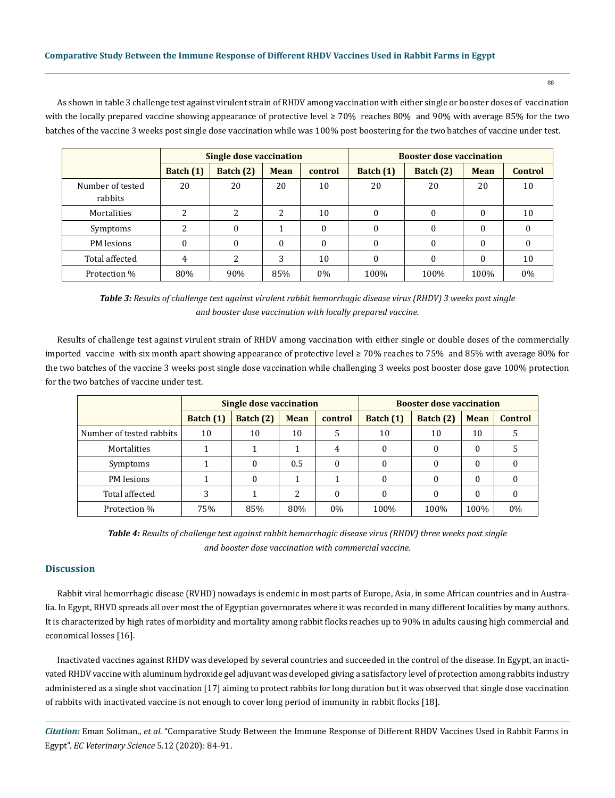As shown in table 3 challenge test against virulent strain of RHDV among vaccination with either single or booster doses of vaccination with the locally prepared vaccine showing appearance of protective level ≥ 70% reaches 80% and 90% with average 85% for the two batches of the vaccine 3 weeks post single dose vaccination while was 100% post boostering for the two batches of vaccine under test.

|                             | Single dose vaccination |             |             |         | <b>Booster dose vaccination</b> |           |             |         |  |
|-----------------------------|-------------------------|-------------|-------------|---------|---------------------------------|-----------|-------------|---------|--|
|                             | Batch $(1)$             | Batch $(2)$ | <b>Mean</b> | control | Batch $(1)$                     | Batch (2) | <b>Mean</b> | Control |  |
| Number of tested<br>rabbits | 20                      | 20          | 20          | 10      | 20                              | 20        | 20          | 10      |  |
| Mortalities                 | 2                       | 2           | 2           | 10      | 0                               | $\Omega$  | $\theta$    | 10      |  |
| Symptoms                    | າ                       | $\Omega$    |             | 0       | 0                               | $\Omega$  | $\theta$    |         |  |
| PM lesions                  | $\Omega$                | $\Omega$    | $\Omega$    | 0       | 0                               | $\Omega$  | $\theta$    |         |  |
| Total affected              | 4                       | 2           | 3           | 10      | 0                               | $\Omega$  | 0           | 10      |  |
| Protection %                | 80%                     | 90%         | 85%         | $0\%$   | 100%                            | 100%      | 100%        | $0\%$   |  |

*Table 3: Results of challenge test against virulent rabbit hemorrhagic disease virus (RHDV) 3 weeks post single and booster dose vaccination with locally prepared vaccine.*

Results of challenge test against virulent strain of RHDV among vaccination with either single or double doses of the commercially imported vaccine with six month apart showing appearance of protective level ≥ 70% reaches to 75% and 85% with average 80% for the two batches of the vaccine 3 weeks post single dose vaccination while challenging 3 weeks post booster dose gave 100% protection for the two batches of vaccine under test.

|                          | <b>Single dose vaccination</b> |           |             |          | <b>Booster dose vaccination</b> |           |             |                |
|--------------------------|--------------------------------|-----------|-------------|----------|---------------------------------|-----------|-------------|----------------|
|                          | Batch $(1)$                    | Batch (2) | <b>Mean</b> | control  | Batch $(1)$                     | Batch (2) | <b>Mean</b> | <b>Control</b> |
| Number of tested rabbits | 10                             | 10        | 10          |          | 10                              | 10        | 10          |                |
| Mortalities              |                                |           |             | 4        | 0                               | $\theta$  | $\Omega$    | כ              |
| Symptoms                 |                                | $\Omega$  | 0.5         |          | 0                               | 0         | $\Omega$    |                |
| PM lesions               |                                | $\Omega$  |             |          | 0                               | 0         | $\Omega$    |                |
| Total affected           | 3                              |           | 2           | $\theta$ | 0                               | $\theta$  | $\theta$    |                |
| Protection %             | 75%                            | 85%       | 80%         | $0\%$    | 100%                            | 100%      | 100%        | $0\%$          |

*Table 4: Results of challenge test against rabbit hemorrhagic disease virus (RHDV) three weeks post single and booster dose vaccination with commercial vaccine.*

# **Discussion**

Rabbit viral hemorrhagic disease (RVHD) nowadays is endemic in most parts of Europe, Asia, in some African countries and in Australia. In Egypt, RHVD spreads all over most the of Egyptian governorates where it was recorded in many different localities by many authors. It is characterized by high rates of morbidity and mortality among rabbit flocks reaches up to 90% in adults causing high commercial and economical losses [16].

Inactivated vaccines against RHDV was developed by several countries and succeeded in the control of the disease. In Egypt, an inactivated RHDV vaccine with aluminum hydroxide gel adjuvant was developed giving a satisfactory level of protection among rabbits industry administered as a single shot vaccination [17] aiming to protect rabbits for long duration but it was observed that single dose vaccination of rabbits with inactivated vaccine is not enough to cover long period of immunity in rabbit flocks [18].

*Citation:* Eman Soliman., *et al.* "Comparative Study Between the Immune Response of Different RHDV Vaccines Used in Rabbit Farms in Egypt". *EC Veterinary Science* 5.12 (2020): 84-91.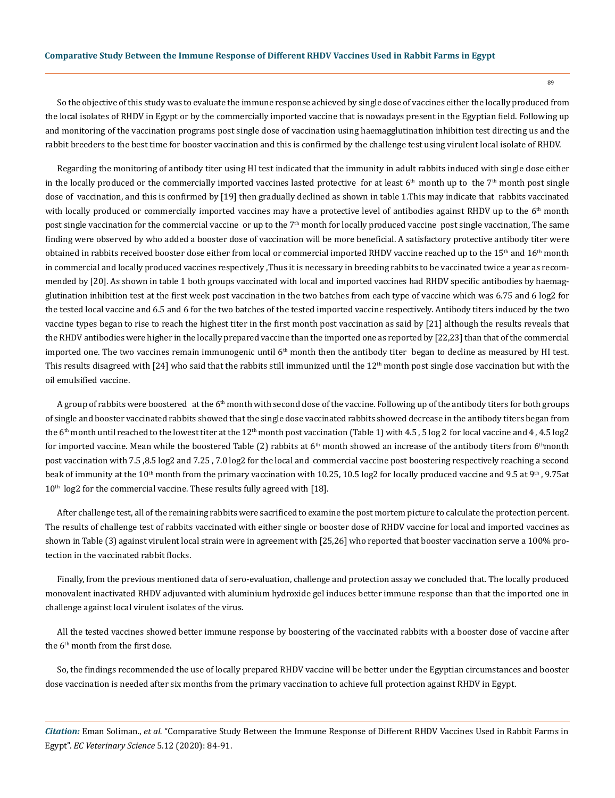So the objective of this study was to evaluate the immune response achieved by single dose of vaccines either the locally produced from the local isolates of RHDV in Egypt or by the commercially imported vaccine that is nowadays present in the Egyptian field. Following up and monitoring of the vaccination programs post single dose of vaccination using haemagglutination inhibition test directing us and the rabbit breeders to the best time for booster vaccination and this is confirmed by the challenge test using virulent local isolate of RHDV.

Regarding the monitoring of antibody titer using HI test indicated that the immunity in adult rabbits induced with single dose either in the locally produced or the commercially imported vaccines lasted protective for at least  $6<sup>th</sup>$  month up to the  $7<sup>th</sup>$  month post single dose of vaccination, and this is confirmed by [19] then gradually declined as shown in table 1.This may indicate that rabbits vaccinated with locally produced or commercially imported vaccines may have a protective level of antibodies against RHDV up to the  $6<sup>th</sup>$  month post single vaccination for the commercial vaccine or up to the  $7<sup>th</sup>$  month for locally produced vaccine post single vaccination, The same finding were observed by who added a booster dose of vaccination will be more beneficial. A satisfactory protective antibody titer were obtained in rabbits received booster dose either from local or commercial imported RHDV vaccine reached up to the 15<sup>th</sup> and 16<sup>th</sup> month in commercial and locally produced vaccines respectively ,Thus it is necessary in breeding rabbits to be vaccinated twice a year as recommended by [20]. As shown in table 1 both groups vaccinated with local and imported vaccines had RHDV specific antibodies by haemagglutination inhibition test at the first week post vaccination in the two batches from each type of vaccine which was 6.75 and 6 log2 for the tested local vaccine and 6.5 and 6 for the two batches of the tested imported vaccine respectively. Antibody titers induced by the two vaccine types began to rise to reach the highest titer in the first month post vaccination as said by [21] although the results reveals that the RHDV antibodies were higher in the locally prepared vaccine than the imported one as reported by [22,23] than that of the commercial imported one. The two vaccines remain immunogenic until  $6<sup>th</sup>$  month then the antibody titer began to decline as measured by HI test. This results disagreed with [24] who said that the rabbits still immunized until the  $12<sup>th</sup>$  month post single dose vaccination but with the oil emulsified vaccine.

A group of rabbits were boostered at the  $6<sup>th</sup>$  month with second dose of the vaccine. Following up of the antibody titers for both groups of single and booster vaccinated rabbits showed that the single dose vaccinated rabbits showed decrease in the antibody titers began from the 6<sup>th</sup> month until reached to the lowest titer at the 12<sup>th</sup> month post vaccination (Table 1) with 4.5, 5 log 2 for local vaccine and 4, 4.5 log 2 for imported vaccine. Mean while the boostered Table (2) rabbits at  $6<sup>th</sup>$  month showed an increase of the antibody titers from  $6<sup>th</sup>$ month post vaccination with 7.5 ,8.5 log2 and 7.25 , 7.0 log2 for the local and commercial vaccine post boostering respectively reaching a second beak of immunity at the 10<sup>th</sup> month from the primary vaccination with 10.25, 10.5 log2 for locally produced vaccine and 9.5 at 9<sup>th</sup>, 9.75at 10<sup>th</sup> log2 for the commercial vaccine. These results fully agreed with [18].

After challenge test, all of the remaining rabbits were sacrificed to examine the post mortem picture to calculate the protection percent. The results of challenge test of rabbits vaccinated with either single or booster dose of RHDV vaccine for local and imported vaccines as shown in Table (3) against virulent local strain were in agreement with [25,26] who reported that booster vaccination serve a 100% protection in the vaccinated rabbit flocks.

Finally, from the previous mentioned data of sero-evaluation, challenge and protection assay we concluded that. The locally produced monovalent inactivated RHDV adjuvanted with aluminium hydroxide gel induces better immune response than that the imported one in challenge against local virulent isolates of the virus.

All the tested vaccines showed better immune response by boostering of the vaccinated rabbits with a booster dose of vaccine after the 6<sup>th</sup> month from the first dose.

So, the findings recommended the use of locally prepared RHDV vaccine will be better under the Egyptian circumstances and booster dose vaccination is needed after six months from the primary vaccination to achieve full protection against RHDV in Egypt.

*Citation:* Eman Soliman., *et al.* "Comparative Study Between the Immune Response of Different RHDV Vaccines Used in Rabbit Farms in Egypt". *EC Veterinary Science* 5.12 (2020): 84-91.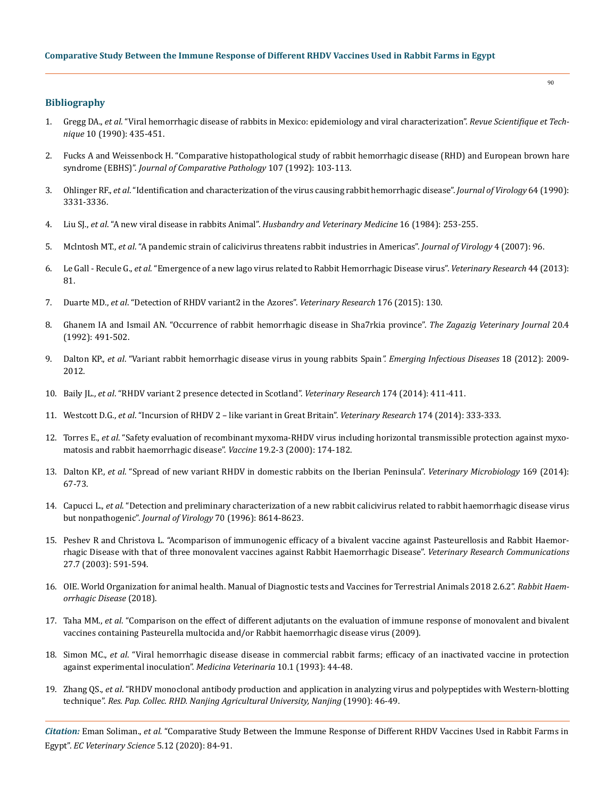# **Bibliography**

- 1. Gregg DA., *et al*[. "Viral hemorrhagic disease of rabbits in Mexico: epidemiology and viral characterization".](https://pubmed.ncbi.nlm.nih.gov/1760584/) *Revue Scientifique et Technique* [10 \(1990\): 435-451.](https://pubmed.ncbi.nlm.nih.gov/1760584/)
- 2. [Fucks A and Weissenbock H. "Comparative histopathological study of rabbit hemorrhagic disease \(RHD\) and European brown hare](https://pubmed.ncbi.nlm.nih.gov/1430343/)  syndrome (EBHS)". *[Journal of Comparative Pathology](https://pubmed.ncbi.nlm.nih.gov/1430343/)* 107 (1992): 103-113.
- 3. Ohlinger RF., *et al*[. "Identification and characterization of the virus causing rabbit hemorrhagic disease".](https://www.ncbi.nlm.nih.gov/pmc/articles/PMC249571/) *Journal of Virology* 64 (1990): [3331-3336.](https://www.ncbi.nlm.nih.gov/pmc/articles/PMC249571/)
- 4. Liu SJ., *et al*. "A new viral disease in rabbits Animal". *Husbandry and Veterinary Medicine* 16 (1984): 253-255.
- 5. Mclntosh MT., *et al*[. "A pandemic strain of calicivirus threatens rabbit industries in Americas".](https://virologyj.biomedcentral.com/articles/10.1186/1743-422X-4-96) *Journal of Virology* 4 (2007): 96.
- 6. Le Gall Recule G., *et al*[. "Emergence of a new lago virus related to Rabbit Hemorrhagic Disease virus".](https://veterinaryresearch.biomedcentral.com/articles/10.1186/1297-9716-44-81) *Veterinary Research* 44 (2013): [81.](https://veterinaryresearch.biomedcentral.com/articles/10.1186/1297-9716-44-81)
- 7. Duarte MD., *et al*[. "Detection of RHDV variant2 in the Azores".](https://www.researchgate.net/publication/271592483_Detection_of_RHDV_variant_2_in_the_Azores) *Veterinary Research* 176 (2015): 130.
- 8. Ghanem IA and Ismail AN. "Occurrence of rabbit hemorrhagic disease in Sha7rkia province". *The Zagazig Veterinary Journal* 20.4 (1992): 491-502.
- 9. Dalton KP., *et al*[. "Variant rabbit hemorrhagic disease virus in young rabbits Spain](https://www.ncbi.nlm.nih.gov/pmc/articles/PMC3557890/)*". Emerging Infectious Diseases* 18 (2012): 2009- [2012.](https://www.ncbi.nlm.nih.gov/pmc/articles/PMC3557890/)
- 10. Baily JL., *et al*[. "RHDV variant 2 presence detected in Scotland".](https://pubmed.ncbi.nlm.nih.gov/24744295/) *Veterinary Research* 174 (2014): 411-411.
- 11. Westcott D.G., *et al*[. "Incursion of RHDV 2 like variant in Great Britain".](https://veterinaryrecord.bmj.com/content/174/13/333.1) *Veterinary Research* 174 (2014): 333-333.
- 12. Torres E., *et al*[. "Safety evaluation of recombinant myxoma-RHDV virus including horizontal transmissible protection against myxo](https://www.ncbi.nlm.nih.gov/pmc/articles/PMC7125741/)[matosis and rabbit haemorrhagic disease".](https://www.ncbi.nlm.nih.gov/pmc/articles/PMC7125741/) *Vaccine* 19.2-3 (2000): 174-182.
- 13. Dalton KP., *et al*[. "Spread of new variant RHDV in domestic rabbits on the Iberian Peninsula".](https://www.sciencedirect.com/science/article/pii/S0378113513005932) *Veterinary Microbiology* 169 (2014): [67-73.](https://www.sciencedirect.com/science/article/pii/S0378113513005932)
- 14. Capucci L., *et al*[. "Detection and preliminary characterization of a new rabbit calicivirus related to rabbit haemorrhagic disease virus](https://www.ncbi.nlm.nih.gov/pmc/articles/PMC190954/á)  but nonpathogenic". *Journal of Virology* [70 \(1996\): 8614-8623.](https://www.ncbi.nlm.nih.gov/pmc/articles/PMC190954/á)
- 15. [Peshev R and Christova L. "Acomparison of immunogenic efficacy of a bivalent vaccine against Pasteurellosis and Rabbit Haemor](https://link.springer.com/article/10.1023/A:1026055909082)[rhagic Disease with that of three monovalent vaccines against Rabbit Haemorrhagic Disease".](https://link.springer.com/article/10.1023/A:1026055909082) *Veterinary Research Communications*  [27.7 \(2003\): 591-594.](https://link.springer.com/article/10.1023/A:1026055909082)
- 16. [OIE. World Organization for animal health. Manual of Diagnostic tests and Vaccines for Terrestrial Animals 2018 2.6.2".](https://www.oie.int/standard-setting/terrestrial-manual/) *Rabbit Haem[orrhagic Disease](https://www.oie.int/standard-setting/terrestrial-manual/)* (2018).
- 17. Taha MM., *et al*. "Comparison on the effect of different adjutants on the evaluation of immune response of monovalent and bivalent vaccines containing Pasteurella multocida and/or Rabbit haemorrhagic disease virus (2009).
- 18. Simon MC., *et al*. "Viral hemorrhagic disease disease in commercial rabbit farms; efficacy of an inactivated vaccine in protection against experimental inoculation". *Medicina Veterinaria* 10.1 (1993): 44-48.
- 19. Zhang QS., *et al*. "RHDV monoclonal antibody production and application in analyzing virus and polypeptides with Western-blotting technique". *Res. Pap. Collec. RHD. Nanjing Agricultural University, Nanjing* (1990): 46-49.

*Citation:* Eman Soliman., *et al.* "Comparative Study Between the Immune Response of Different RHDV Vaccines Used in Rabbit Farms in Egypt". *EC Veterinary Science* 5.12 (2020): 84-91.